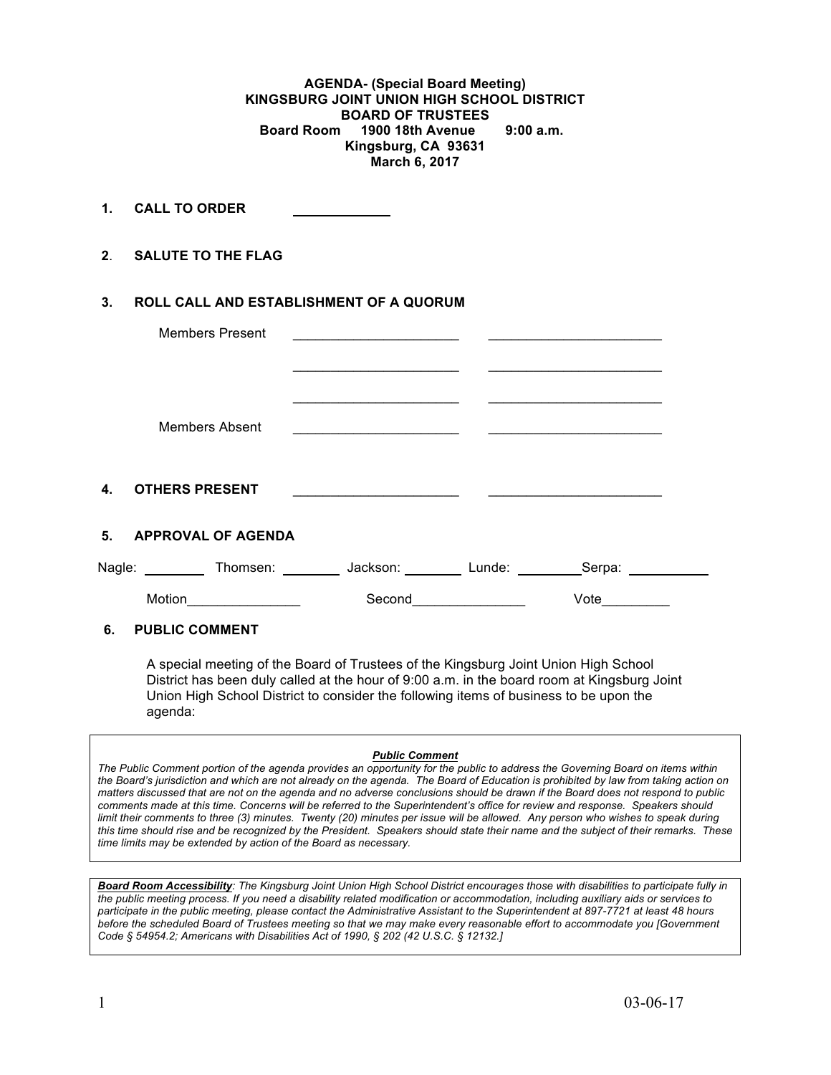**AGENDA- (Special Board Meeting) KINGSBURG JOINT UNION HIGH SCHOOL DISTRICT BOARD OF TRUSTEES Board Room 1900 18th Avenue 9:00 a.m. Kingsburg, CA 93631 March 6, 2017**

**1. CALL TO ORDER** 

**2**. **SALUTE TO THE FLAG**

## **3. ROLL CALL AND ESTABLISHMENT OF A QUORUM**

|                | <b>Members Present</b>    |          |                  |  |
|----------------|---------------------------|----------|------------------|--|
|                | <b>Members Absent</b>     |          |                  |  |
| 4.             | <b>OTHERS PRESENT</b>     |          |                  |  |
| 5 <sub>1</sub> | <b>APPROVAL OF AGENDA</b> |          |                  |  |
| Nagle:         | Thomsen:                  | Jackson: | Lunde:<br>Serpa: |  |
|                | Motion                    | Second   | Vote             |  |

## **6. PUBLIC COMMENT**

A special meeting of the Board of Trustees of the Kingsburg Joint Union High School District has been duly called at the hour of 9:00 a.m. in the board room at Kingsburg Joint Union High School District to consider the following items of business to be upon the agenda:

#### *Public Comment*

*The Public Comment portion of the agenda provides an opportunity for the public to address the Governing Board on items within the Board's jurisdiction and which are not already on the agenda. The Board of Education is prohibited by law from taking action on matters discussed that are not on the agenda and no adverse conclusions should be drawn if the Board does not respond to public comments made at this time. Concerns will be referred to the Superintendent's office for review and response. Speakers should limit their comments to three (3) minutes. Twenty (20) minutes per issue will be allowed. Any person who wishes to speak during this time should rise and be recognized by the President. Speakers should state their name and the subject of their remarks. These time limits may be extended by action of the Board as necessary.*

*Board Room Accessibility: The Kingsburg Joint Union High School District encourages those with disabilities to participate fully in the public meeting process. If you need a disability related modification or accommodation, including auxiliary aids or services to participate in the public meeting, please contact the Administrative Assistant to the Superintendent at 897-7721 at least 48 hours before the scheduled Board of Trustees meeting so that we may make every reasonable effort to accommodate you [Government Code § 54954.2; Americans with Disabilities Act of 1990, § 202 (42 U.S.C. § 12132.]*